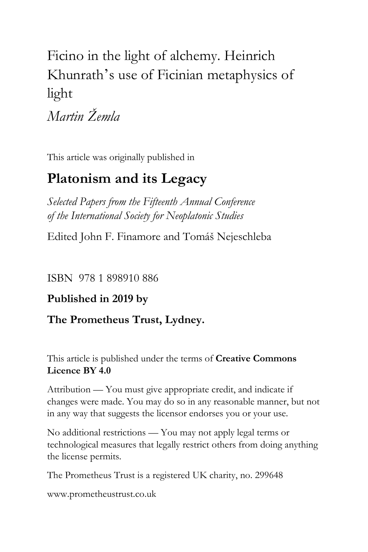# Ficino in the light of alchemy. Heinrich Khunrath' s use of Ficinian metaphysics of light

*Martin Žemla*

This article was originally published in

## **Platonism and its Legacy**

*Selected Papers from the Fifteenth Annual Conference of the International Society for Neoplatonic Studies*

Edited John F. Finamore and Tomáš Nejeschleba

ISBN 978 1 898910 886

### **Published in 2019 by**

### **The Prometheus Trust, Lydney.**

This article is published under the terms of **Creative Commons Licence BY 4.0**

Attribution — You must give appropriate credit, and indicate if changes were made. You may do so in any reasonable manner, but not in any way that suggests the licensor endorses you or your use.

No additional restrictions — You may not apply legal terms or technological measures that legally restrict others from doing anything the license permits.

The Prometheus Trust is a registered UK charity, no. 299648

[www.prometheustrust.co.uk](http://www.prometheustrust.co.uk/)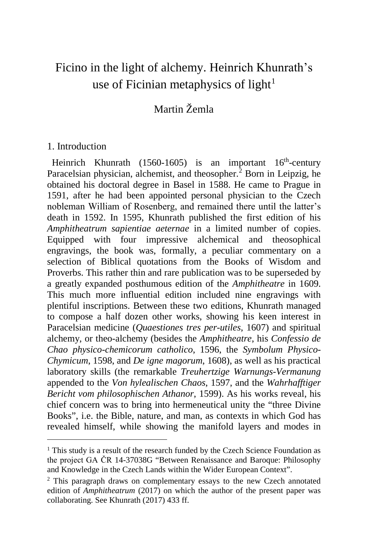## Ficino in the light of alchemy. Heinrich Khunrath's use of Ficinian metaphysics of light<sup>[1](#page-1-0)</sup>

### Martin Žemla

#### 1. Introduction

i,

Heinrich Khunrath (1560-1605) is an important  $16<sup>th</sup>$ -century Paracelsian physician, alchemist, and theosopher. $\frac{3}{7}$  Born in Leipzig, he obtained his doctoral degree in Basel in 1588. He came to Prague in 1591, after he had been appointed personal physician to the Czech nobleman William of Rosenberg, and remained there until the latter's death in 1592. In 1595, Khunrath published the first edition of his *Amphitheatrum sapientiae aeternae* in a limited number of copies. Equipped with four impressive alchemical and theosophical engravings, the book was, formally, a peculiar commentary on a selection of Biblical quotations from the Books of Wisdom and Proverbs. This rather thin and rare publication was to be superseded by a greatly expanded posthumous edition of the *Amphitheatre* in 1609. This much more influential edition included nine engravings with plentiful inscriptions. Between these two editions, Khunrath managed to compose a half dozen other works, showing his keen interest in Paracelsian medicine (*Quaestiones tres per-utiles*, 1607) and spiritual alchemy, or theo-alchemy (besides the *Amphitheatre*, his *Confessio de Chao physico-chemicorum catholico*, 1596, the *Symbolum Physico-Chymicum*, 1598, and *De igne magorum*, 1608), as well as his practical laboratory skills (the remarkable *Treuhertzige Warnungs-Vermanung*  appended to the *Von hylealischen Chaos*, 1597, and the *Wahrhafftiger Bericht vom philosophischen Athanor*, 1599). As his works reveal, his chief concern was to bring into hermeneutical unity the "three Divine Books", i.e. the Bible, nature, and man, as contexts in which God has revealed himself, while showing the manifold layers and modes in

<span id="page-1-0"></span><sup>&</sup>lt;sup>1</sup> This study is a result of the research funded by the Czech Science Foundation as the project GA ČR 14-37038G "Between Renaissance and Baroque: Philosophy and Knowledge in the Czech Lands within the Wider European Context".

<span id="page-1-1"></span><sup>&</sup>lt;sup>2</sup> This paragraph draws on complementary essays to the new Czech annotated edition of *Amphitheatrum* (2017) on which the author of the present paper was collaborating. See Khunrath (2017) 433 ff.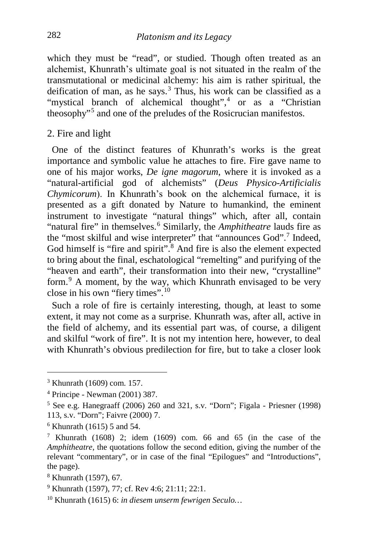which they must be "read", or studied. Though often treated as an alchemist, Khunrath's ultimate goal is not situated in the realm of the transmutational or medicinal alchemy: his aim is rather spiritual, the deification of man, as he says.<sup>[3](#page-2-0)</sup> Thus, his work can be classified as a "mystical branch of alchemical thought",<sup>[4](#page-2-1)</sup> or as a "Christian" theosophy"[5](#page-2-2) and one of the preludes of the Rosicrucian manifestos.

#### 2. Fire and light

 One of the distinct features of Khunrath's works is the great importance and symbolic value he attaches to fire. Fire gave name to one of his major works, *De igne magorum*, where it is invoked as a "natural-artificial god of alchemists" (*Deus Physico-Artificialis Chymicorum*). In Khunrath's book on the alchemical furnace, it is presented as a gift donated by Nature to humankind, the eminent instrument to investigate "natural things" which, after all, contain "natural fire" in themselves.[6](#page-2-3) Similarly, the *Amphitheatre* lauds fire as the "most skilful and wise interpreter" that "announces God".[7](#page-2-4) Indeed, God himself is "fire and spirit".<sup>[8](#page-2-5)</sup> And fire is also the element expected to bring about the final, eschatological "remelting" and purifying of the "heaven and earth", their transformation into their new, "crystalline" form.[9](#page-2-6) A moment, by the way, which Khunrath envisaged to be very close in his own "fiery times".[10](#page-2-7)

 Such a role of fire is certainly interesting, though, at least to some extent, it may not come as a surprise. Khunrath was, after all, active in the field of alchemy, and its essential part was, of course, a diligent and skilful "work of fire". It is not my intention here, however, to deal with Khunrath's obvious predilection for fire, but to take a closer look

i,

<sup>3</sup> Khunrath (1609) com. 157.

<span id="page-2-1"></span><span id="page-2-0"></span><sup>4</sup> Principe - Newman (2001) 387.

<span id="page-2-2"></span><sup>5</sup> See e.g. Hanegraaff (2006) 260 and 321, s.v. "Dorn"; Figala - Priesner (1998) 113, s.v. "Dorn"; Faivre (2000) 7.

<span id="page-2-3"></span> $6$  Khunrath (1615) 5 and 54.

<span id="page-2-4"></span><sup>&</sup>lt;sup>7</sup> Khunrath (1608) 2; idem (1609) com. 66 and 65 (in the case of the *Amphitheatre*, the quotations follow the second edition, giving the number of the relevant "commentary", or in case of the final "Epilogues" and "Introductions", the page).

<span id="page-2-5"></span><sup>8</sup> Khunrath (1597), 67.

<span id="page-2-6"></span><sup>9</sup> Khunrath (1597), 77; cf. Rev 4:6; 21:11; 22:1.

<span id="page-2-7"></span><sup>10</sup> Khunrath (1615) 6: *in diesem unserm fewrigen Seculo…*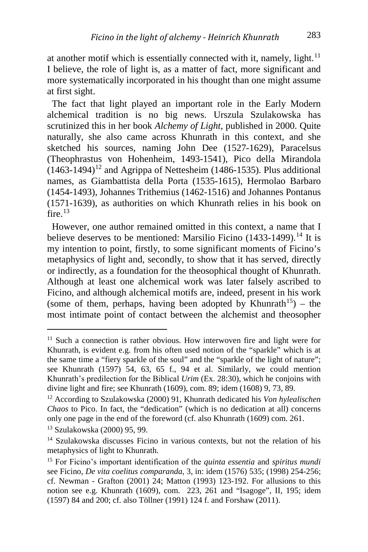at another motif which is essentially connected with it, namely, light. $11$ I believe, the role of light is, as a matter of fact, more significant and more systematically incorporated in his thought than one might assume at first sight.

 The fact that light played an important role in the Early Modern alchemical tradition is no big news. Urszula Szulakowska has scrutinized this in her book *Alchemy of Light*, published in 2000. Quite naturally, she also came across Khunrath in this context, and she sketched his sources, naming John Dee (1527-1629), Paracelsus (Theophrastus von Hohenheim, 1493-1541), Pico della Mirandola  $(1463-1494)^{12}$  $(1463-1494)^{12}$  $(1463-1494)^{12}$  and Agrippa of Nettesheim (1486-1535). Plus additional names, as Giambattista della Porta (1535-1615), Hermolao Barbaro (1454-1493), Johannes Trithemius (1462-1516) and Johannes Pontanus (1571-1639), as authorities on which Khunrath relies in his book on fire  $^{13}$  $^{13}$  $^{13}$ 

 However, one author remained omitted in this context, a name that I believe deserves to be mentioned: Marsilio Ficino  $(1433-1499)$  $(1433-1499)$  $(1433-1499)$ .<sup>14</sup> It is my intention to point, firstly, to some significant moments of Ficino's metaphysics of light and, secondly, to show that it has served, directly or indirectly, as a foundation for the theosophical thought of Khunrath. Although at least one alchemical work was later falsely ascribed to Ficino, and although alchemical motifs are, indeed, present in his work (some of them, perhaps, having been adopted by Khunrath<sup>15</sup>) – the most intimate point of contact between the alchemist and theosopher

<span id="page-3-0"></span><sup>&</sup>lt;sup>11</sup> Such a connection is rather obvious. How interwoven fire and light were for Khunrath, is evident e.g. from his often used notion of the "sparkle" which is at the same time a "fiery sparkle of the soul" and the "sparkle of the light of nature"; see Khunrath (1597) 54, 63, 65 f., 94 et al. Similarly, we could mention Khunrath's predilection for the Biblical *Urim* (Ex. 28:30), which he conjoins with divine light and fire; see Khunrath (1609), com. 89; idem (1608) 9, 73, 89*.*

<span id="page-3-1"></span><sup>12</sup> According to Szulakowska (2000) 91, Khunrath dedicated his *Von hylealischen Chaos* to Pico. In fact, the "dedication" (which is no dedication at all) concerns only one page in the end of the foreword (cf. also Khunrath (1609) com. 261.

<span id="page-3-2"></span><sup>13</sup> Szulakowska (2000) 95, 99.

<span id="page-3-3"></span><sup>&</sup>lt;sup>14</sup> Szulakowska discusses Ficino in various contexts, but not the relation of his metaphysics of light to Khunrath.

<span id="page-3-4"></span><sup>15</sup> For Ficino's important identification of the *quinta essentia* and *spiritus mundi* see Ficino, *De vita coelitus comparanda*, 3, in: idem (1576) 535; (1998) 254-256; cf. Newman - Grafton (2001) 24; Matton (1993) 123-192. For allusions to this notion see e.g. Khunrath (1609), com. 223, 261 and "Isagoge", II, 195; idem (1597) 84 and 200; cf. also Töllner (1991) 124 f. and Forshaw (2011).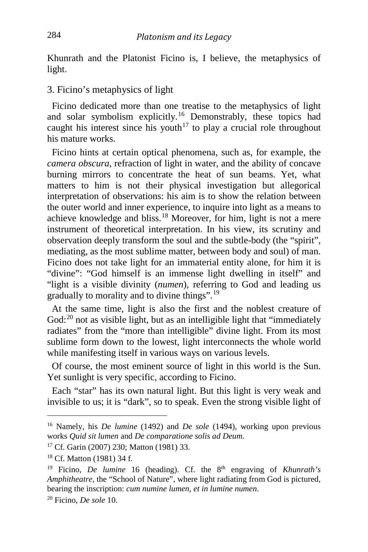Khunrath and the Platonist Ficino is, I believe, the metaphysics of light.

3. Ficino's metaphysics of light

 Ficino dedicated more than one treatise to the metaphysics of light and solar symbolism explicitly.<sup>[16](#page-4-0)</sup> Demonstrably, these topics had caught his interest since his youth<sup> $17$ </sup> to play a crucial role throughout his mature works.

 Ficino hints at certain optical phenomena, such as, for example, the *camera obscura*, refraction of light in water, and the ability of concave burning mirrors to concentrate the heat of sun beams. Yet, what matters to him is not their physical investigation but allegorical interpretation of observations: his aim is to show the relation between the outer world and inner experience, to inquire into light as a means to achieve knowledge and bliss.<sup>[18](#page-4-2)</sup> Moreover, for him, light is not a mere instrument of theoretical interpretation. In his view, its scrutiny and observation deeply transform the soul and the subtle-body (the "spirit", mediating, as the most sublime matter, between body and soul) of man. Ficino does not take light for an immaterial entity alone, for him it is "divine": "God himself is an immense light dwelling in itself" and "light is a visible divinity (*numen*), referring to God and leading us gradually to morality and to divine things".[19](#page-4-3)

 At the same time, light is also the first and the noblest creature of God: $^{20}$  $^{20}$  $^{20}$  not as visible light, but as an intelligible light that "immediately radiates" from the "more than intelligible" divine light. From its most sublime form down to the lowest, light interconnects the whole world while manifesting itself in various ways on various levels.

 Of course, the most eminent source of light in this world is the Sun. Yet sunlight is very specific, according to Ficino.

 Each "star" has its own natural light. But this light is very weak and invisible to us; it is "dark", so to speak. Even the strong visible light of

<span id="page-4-0"></span><sup>16</sup> Namely, his *De lumine* (1492) and *De sole* (1494), working upon previous works *Quid sit lumen* and *De comparatione solis ad Deum*.

<span id="page-4-1"></span><sup>17</sup> Cf. Garin (2007) 230; Matton (1981) 33.

<span id="page-4-2"></span><sup>18</sup> Cf. Matton (1981) 34 f.

<span id="page-4-3"></span><sup>&</sup>lt;sup>19</sup> Ficino, *De lumine* 16 (heading). Cf. the 8<sup>th</sup> engraving of *Khunrath's Amphitheatre*, the "School of Nature", where light radiating from God is pictured, bearing the inscription: *cum numine lumen, et in lumine numen*. 20 Ficino, *De sole* 10.

<span id="page-4-4"></span>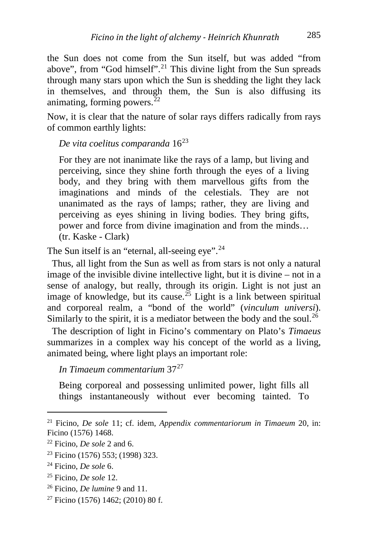the Sun does not come from the Sun itself, but was added "from above", from "God himself".<sup>[21](#page-5-0)</sup> This divine light from the Sun spreads through many stars upon which the Sun is shedding the light they lack in themselves, and through them, the Sun is also diffusing its animating, forming powers. $^{22}$  $^{22}$  $^{22}$ 

Now, it is clear that the nature of solar rays differs radically from rays of common earthly lights:

*De vita coelitus comparanda* 16[23](#page-5-2)

For they are not inanimate like the rays of a lamp, but living and perceiving, since they shine forth through the eyes of a living body, and they bring with them marvellous gifts from the imaginations and minds of the celestials. They are not unanimated as the rays of lamps; rather, they are living and perceiving as eyes shining in living bodies. They bring gifts, power and force from divine imagination and from the minds… (tr. Kaske - Clark)

The Sun itself is an "eternal, all-seeing eye".<sup>[24](#page-5-3)</sup>

 Thus, all light from the Sun as well as from stars is not only a natural image of the invisible divine intellective light, but it is divine – not in a sense of analogy, but really, through its origin. Light is not just an image of knowledge, but its cause.<sup>[25](#page-5-4)</sup> Light is a link between spiritual and corporeal realm, a "bond of the world" (*vinculum universi*). Similarly to the spirit, it is a mediator between the body and the soul.<sup>[26](#page-5-5)</sup>

 The description of light in Ficino's commentary on Plato's *Timaeus* summarizes in a complex way his concept of the world as a living, animated being, where light plays an important role:

*In Timaeum commentarium* 37[27](#page-5-6)

Being corporeal and possessing unlimited power, light fills all things instantaneously without ever becoming tainted. To

<span id="page-5-0"></span>i, <sup>21</sup> Ficino, *De sole* 11; cf. idem, *Appendix commentariorum in Timaeum* 20, in: Ficino (1576) 1468.

<span id="page-5-1"></span><sup>22</sup> Ficino, *De sole* 2 and 6.

<span id="page-5-2"></span><sup>23</sup> Ficino (1576) 553; (1998) 323.

<span id="page-5-3"></span><sup>24</sup> Ficino, *De sole* 6.

<span id="page-5-4"></span><sup>25</sup> Ficino, *De sole* 12.

<span id="page-5-5"></span><sup>26</sup> Ficino, *De lumine* 9 and 11.

<span id="page-5-6"></span> $27$  Ficino (1576) 1462; (2010) 80 f.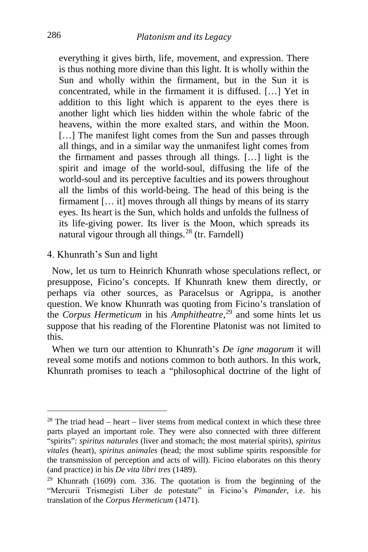everything it gives birth, life, movement, and expression. There is thus nothing more divine than this light. It is wholly within the Sun and wholly within the firmament, but in the Sun it is concentrated, while in the firmament it is diffused. […] Yet in addition to this light which is apparent to the eyes there is another light which lies hidden within the whole fabric of the heavens, within the more exalted stars, and within the Moon. [...] The manifest light comes from the Sun and passes through all things, and in a similar way the unmanifest light comes from the firmament and passes through all things. […] light is the spirit and image of the world-soul, diffusing the life of the world-soul and its perceptive faculties and its powers throughout all the limbs of this world-being. The head of this being is the firmament [… it] moves through all things by means of its starry eyes. Its heart is the Sun, which holds and unfolds the fullness of its life-giving power. Its liver is the Moon, which spreads its natural vigour through all things. $^{28}$  $^{28}$  $^{28}$  (tr. Farndell)

#### 4. Khunrath's Sun and light

 Now, let us turn to Heinrich Khunrath whose speculations reflect, or presuppose, Ficino's concepts. If Khunrath knew them directly, or perhaps via other sources, as Paracelsus or Agrippa, is another question. We know Khunrath was quoting from Ficino's translation of the *Corpus Hermeticum* in his *Amphitheatre*, [29](#page-6-1) and some hints let us suppose that his reading of the Florentine Platonist was not limited to this.

 When we turn our attention to Khunrath's *De igne magorum* it will reveal some motifs and notions common to both authors. In this work, Khunrath promises to teach a "philosophical doctrine of the light of

<span id="page-6-0"></span> $28$  The triad head – heart – liver stems from medical context in which these three parts played an important role. They were also connected with three different "spirits": *spiritus naturales* (liver and stomach; the most material spirits), *spiritus vitales* (heart), *spiritus animales* (head; the most sublime spirits responsible for the transmission of perception and acts of will). Ficino elaborates on this theory (and practice) in his *De vita libri tres* (1489).

<span id="page-6-1"></span> $29$  Khunrath (1609) com. 336. The quotation is from the beginning of the "Mercurii Trismegisti Liber de potestate" in Ficino's *Pimander*, i.e. his translation of the *Corpus Hermeticum* (1471).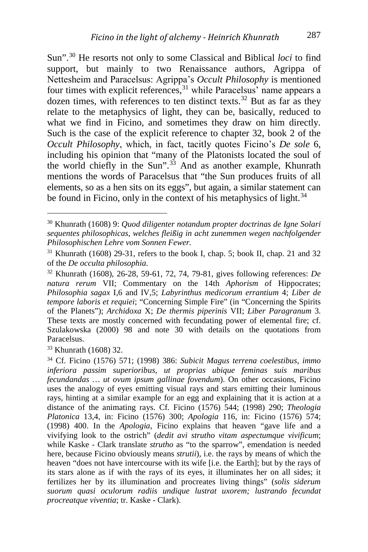Sun".[30](#page-7-0) He resorts not only to some Classical and Biblical *loci* to find support, but mainly to two Renaissance authors, Agrippa of Nettesheim and Paracelsus: Agrippa's *Occult Philosophy* is mentioned four times with explicit references,  $31$  while Paracelsus' name appears a dozen times, with references to ten distinct texts.<sup>[32](#page-7-2)</sup> But as far as they relate to the metaphysics of light, they can be, basically, reduced to what we find in Ficino, and sometimes they draw on him directly. Such is the case of the explicit reference to chapter 32, book 2 of the *Occult Philosophy*, which, in fact, tacitly quotes Ficino's *De sole* 6, including his opinion that "many of the Platonists located the soul of the world chiefly in the Sun".<sup>[33](#page-7-3)</sup> And as another example, Khunrath mentions the words of Paracelsus that "the Sun produces fruits of all elements, so as a hen sits on its eggs", but again, a similar statement can be found in Ficino, only in the context of his metaphysics of light. $34$ 

<span id="page-7-3"></span><sup>33</sup> Khunrath (1608) 32.

<span id="page-7-0"></span><sup>30</sup> Khunrath (1608) 9: *Quod diligenter notandum propter doctrinas de Igne Solari sequentes philosophicas, welches fleißig in acht zunemmen wegen nachfolgender Philosophischen Lehre vom Sonnen Fewer.* 

<span id="page-7-1"></span> $31$  Khunrath (1608) 29-31, refers to the book I, chap. 5; book II, chap. 21 and 32 of the *De occulta philosophia*.

<span id="page-7-2"></span><sup>32</sup> Khunrath (1608), 26-28, 59-61, 72, 74, 79-81, gives following references: *De natura rerum* VII; Commentary on the 14th *Aphorism o*f Hippocrates; *Philosophia sagax* I,6 and IV,5; *Labyrinthus medicorum errantium* 4; *Liber de tempore laboris et requiei*; "Concerning Simple Fire" (in "Concerning the Spirits of the Planets"); *Archidoxa* X; *De thermis piperinis* VII; *Liber Paragranum* 3. These texts are mostly concerned with fecundating power of elemental fire; cf. Szulakowska (2000) 98 and note 30 with details on the quotations from Paracelsus.

<span id="page-7-4"></span><sup>34</sup> Cf. Ficino (1576) 571; (1998) 386: *Subicit Magus terrena coelestibus, immo inferiora passim superioribus, ut proprias ubique feminas suis maribus fecundandas … ut ovum ipsum gallinae fovendum*). On other occasions, Ficino uses the analogy of eyes emitting visual rays and stars emitting their luminous rays, hinting at a similar example for an egg and explaining that it is action at a distance of the animating rays. Cf. Ficino (1576) 544; (1998) 290; *Theologia Platonica* 13,4, in: Ficino (1576) 300; *Apologia* 116, in: Ficino (1576) 574; (1998) 400. In the *Apologia*, Ficino explains that heaven "gave life and a vivifying look to the ostrich" (*dedit avi strutho vitam aspectumque vivificum*; while Kaske - Clark translate *strutho* as "to the sparrow", emendation is needed here, because Ficino obviously means *strutii*), i.e. the rays by means of which the heaven "does not have intercourse with its wife [i.e. the Earth]; but by the rays of its stars alone as if with the rays of its eyes, it illuminates her on all sides; it fertilizes her by its illumination and procreates living things" (*solis siderum suorum quasi oculorum radiis undique lustrat uxorem; lustrando fecundat procreatque viventia*; tr. Kaske - Clark).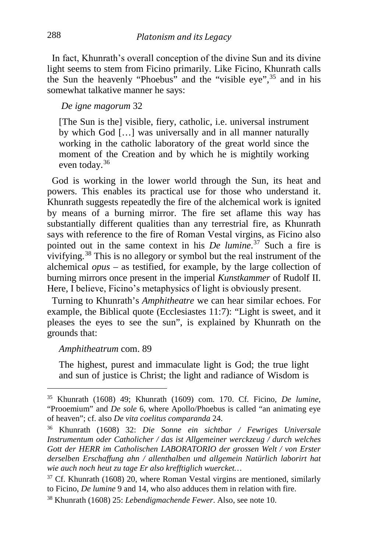In fact, Khunrath's overall conception of the divine Sun and its divine light seems to stem from Ficino primarily. Like Ficino, Khunrath calls the Sun the heavenly "Phoebus" and the "visible eve".<sup>[35](#page-8-0)</sup> and in his somewhat talkative manner he says:

#### *De igne magorum* 32

[The Sun is the] visible, fiery, catholic, i.e. universal instrument by which God […] was universally and in all manner naturally working in the catholic laboratory of the great world since the moment of the Creation and by which he is mightily working even today.[36](#page-8-1)

 God is working in the lower world through the Sun, its heat and powers. This enables its practical use for those who understand it. Khunrath suggests repeatedly the fire of the alchemical work is ignited by means of a burning mirror. The fire set aflame this way has substantially different qualities than any terrestrial fire, as Khunrath says with reference to the fire of Roman Vestal virgins, as Ficino also pointed out in the same context in his *De lumine*. [37](#page-8-2) Such a fire is vivifying.[38](#page-8-3) This is no allegory or symbol but the real instrument of the alchemical *opus* – as testified, for example, by the large collection of burning mirrors once present in the imperial *Kunstkammer* of Rudolf II. Here, I believe, Ficino's metaphysics of light is obviously present.

 Turning to Khunrath's *Amphitheatre* we can hear similar echoes. For example, the Biblical quote (Ecclesiastes 11:7): "Light is sweet, and it pleases the eyes to see the sun", is explained by Khunrath on the grounds that:

#### *Amphitheatrum* com. 89

The highest, purest and immaculate light is God; the true light and sun of justice is Christ; the light and radiance of Wisdom is

<span id="page-8-0"></span><sup>35</sup> Khunrath (1608) 49; Khunrath (1609) com. 170. Cf. Ficino, *De lumine,*  "Prooemium" and *De sole* 6, where Apollo/Phoebus is called "an animating eye of heaven"; cf. also *De vita coelitus comparanda* 24.

<span id="page-8-1"></span><sup>36</sup> Khunrath (1608) 32: *Die Sonne ein sichtbar / Fewriges Universale Instrumentum oder Catholicher / das ist Allgemeiner werckzeug / durch welches Gott der HERR im Catholischen LABORATORIO der grossen Welt / von Erster derselben Erschaffung ahn / allenthalben und allgemein Natürlich laborirt hat wie auch noch heut zu tage Er also krefftiglich wuercket…* 

<span id="page-8-2"></span> $37$  Cf. Khunrath (1608) 20, where Roman Vestal virgins are mentioned, similarly to Ficino, *De lumine* 9 and 14, who also adduces them in relation with fire.

<span id="page-8-3"></span><sup>38</sup> Khunrath (1608) 25: *Lebendigmachende Fewer*. Also, see note 10.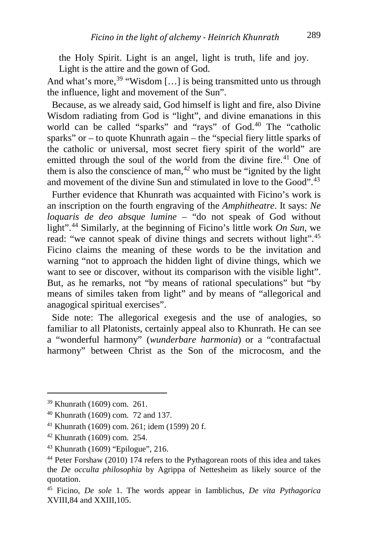the Holy Spirit. Light is an angel, light is truth, life and joy. Light is the attire and the gown of God.

And what's more,  $39$  "Wisdom [...] is being transmitted unto us through the influence, light and movement of the Sun".

 Because, as we already said, God himself is light and fire, also Divine Wisdom radiating from God is "light", and divine emanations in this world can be called "sparks" and "rays" of God.<sup>[40](#page-9-1)</sup> The "catholic sparks" or – to quote Khunrath again – the "special fiery little sparks of the catholic or universal, most secret fiery spirit of the world" are emitted through the soul of the world from the divine fire.<sup>[41](#page-9-2)</sup> One of them is also the conscience of man,  $42$  who must be "ignited by the light" and movement of the divine Sun and stimulated in love to the Good".<sup>[43](#page-9-4)</sup>

 Further evidence that Khunrath was acquainted with Ficino's work is an inscription on the fourth engraving of the *Amphitheatre*. It says: *Ne loquaris de deo absque lumine* – "do not speak of God without light".[44](#page-9-5) Similarly, at the beginning of Ficino's little work *On Sun*, we read: "we cannot speak of divine things and secrets without light"*.* [45](#page-9-6) Ficino claims the meaning of these words to be the invitation and warning "not to approach the hidden light of divine things, which we want to see or discover, without its comparison with the visible light". But, as he remarks, not "by means of rational speculations" but "by means of similes taken from light" and by means of "allegorical and anagogical spiritual exercises".

 Side note: The allegorical exegesis and the use of analogies, so familiar to all Platonists, certainly appeal also to Khunrath. He can see a "wonderful harmony" (*wunderbare harmonia*) or a "contrafactual harmony" between Christ as the Son of the microcosm, and the

<span id="page-9-0"></span><sup>39</sup> Khunrath (1609) com. 261.

<span id="page-9-1"></span><sup>40</sup> Khunrath (1609) com. 72 and 137.

<span id="page-9-2"></span><sup>41</sup> Khunrath (1609) com. 261; idem (1599) 20 f.

<span id="page-9-3"></span><sup>42</sup> Khunrath (1609) com. 254.

<span id="page-9-4"></span> $43$  Khunrath (1609) "Epilogue", 216.

<span id="page-9-5"></span><sup>44</sup> Peter Forshaw (2010) 174 refers to the Pythagorean roots of this idea and takes the *De occulta philosophia* by Agrippa of Nettesheim as likely source of the quotation.

<span id="page-9-6"></span><sup>45</sup> Ficino, *De sole* 1. The words appear in Iamblichus, *De vita Pythagorica*  XVIII,84 and XXIII,105.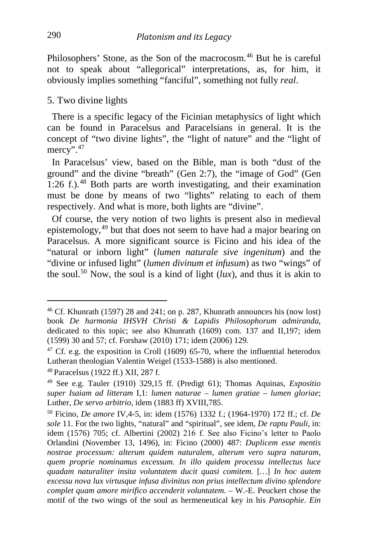Philosophers' Stone, as the Son of the macrocosm.<sup>[46](#page-10-0)</sup> But he is careful not to speak about "allegorical" interpretations, as, for him, it obviously implies something "fanciful", something not fully *real*.

#### 5. Two divine lights

 There is a specific legacy of the Ficinian metaphysics of light which can be found in Paracelsus and Paracelsians in general. It is the concept of "two divine lights", the "light of nature" and the "light of mercy $\cdots$ .<sup>[47](#page-10-1)</sup>

 In Paracelsus' view, based on the Bible, man is both "dust of the ground" and the divine "breath" (Gen 2:7), the "image of God" (Gen  $1:26$  f.).<sup>[48](#page-10-2)</sup> Both parts are worth investigating, and their examination must be done by means of two "lights" relating to each of them respectively. And what is more, both lights are "divine".

 Of course, the very notion of two lights is present also in medieval epistemology,[49](#page-10-3) but that does not seem to have had a major bearing on Paracelsus. A more significant source is Ficino and his idea of the "natural or inborn light" (*lumen naturale sive ingenitum*) and the "divine or infused light" (*lumen divinum et infusum*) as two "wings" of the soul.<sup>[50](#page-10-4)</sup> Now, the soul is a kind of light  $(lux)$ , and thus it is akin to

<span id="page-10-0"></span><sup>46</sup> Cf. Khunrath (1597) 28 and 241; on p. 287, Khunrath announces his (now lost) book *De harmonia IHSVH Christi & Lapidis Philosophorum admiranda*, dedicated to this topic; see also Khunrath (1609) com. 137 and II,197; idem (1599) 30 and 57; cf. Forshaw (2010) 171; idem (2006) 129.

<span id="page-10-1"></span> $47$  Cf. e.g. the exposition in Croll (1609) 65-70, where the influential heterodox Lutheran theologian Valentin Weigel (1533-1588) is also mentioned.

<span id="page-10-2"></span><sup>48</sup> Paracelsus (1922 ff.) XII, 287 f.

<span id="page-10-3"></span><sup>49</sup> See e.g. Tauler (1910) 329,15 ff. (Predigt 61); Thomas Aquinas, *Expositio super Isaiam ad litteram* I,1: *lumen naturae* – *lumen gratiae* – *lumen gloriae*; Luther, *De servo arbitrio*, idem (1883 ff) XVIII,785.

<span id="page-10-4"></span><sup>50</sup> Ficino, *De amore* IV,4-5, in: idem (1576) 1332 f.; (1964-1970) 172 ff.; cf. *De sole* 11. For the two lights, "natural" and "spiritual", see idem, *De raptu Pauli*, in: idem (1576) 705; cf. Albertini (2002) 216 f. See also Ficino's letter to Paolo Orlandini (November 13, 1496), in: Ficino (2000) 487: *Duplicem esse mentis nostrae processum: alterum quidem naturalem, alterum vero supra naturam, quem proprie nominamus excessum. In illo quidem processu intellectus luce quadam naturaliter insita voluntatem ducit quasi comitem.* [*…*] *In hoc autem excessu nova lux virtusque infusa divinitus non prius intellectum divino splendore complet quam amore mirifico accenderit voluntatem.* – W.-E. Peuckert chose the motif of the two wings of the soul as hermeneutical key in his *Pansophie. Ein*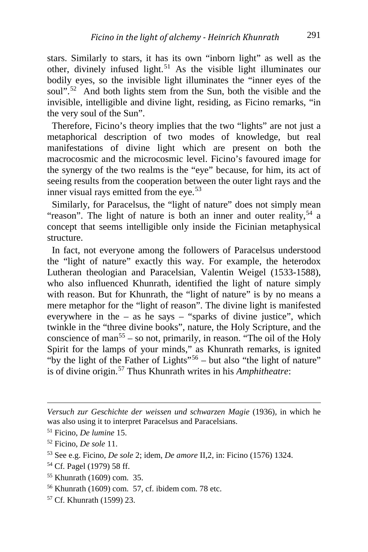stars. Similarly to stars, it has its own "inborn light" as well as the other, divinely infused light.<sup>[51](#page-11-0)</sup> As the visible light illuminates our bodily eyes, so the invisible light illuminates the "inner eyes of the soul".<sup>[52](#page-11-1)</sup> And both lights stem from the Sun, both the visible and the invisible, intelligible and divine light, residing, as Ficino remarks, "in the very soul of the Sun".

 Therefore, Ficino's theory implies that the two "lights" are not just a metaphorical description of two modes of knowledge, but real manifestations of divine light which are present on both the macrocosmic and the microcosmic level. Ficino's favoured image for the synergy of the two realms is the "eye" because, for him, its act of seeing results from the cooperation between the outer light rays and the inner visual rays emitted from the eye.<sup>[53](#page-11-2)</sup>

 Similarly, for Paracelsus, the "light of nature" does not simply mean "reason". The light of nature is both an inner and outer reality,  $54$  a concept that seems intelligible only inside the Ficinian metaphysical structure.

 In fact, not everyone among the followers of Paracelsus understood the "light of nature" exactly this way. For example, the heterodox Lutheran theologian and Paracelsian, Valentin Weigel (1533-1588), who also influenced Khunrath, identified the light of nature simply with reason. But for Khunrath, the "light of nature" is by no means a mere metaphor for the "light of reason". The divine light is manifested everywhere in the – as he says – "sparks of divine justice", which twinkle in the "three divine books", nature, the Holy Scripture, and the conscience of man<sup>[55](#page-11-4)</sup> – so not, primarily, in reason. "The oil of the Holy Spirit for the lamps of your minds," as Khunrath remarks, is ignited "by the light of the Father of Lights"<sup>[56](#page-11-5)</sup> – but also "the light of nature" is of divine origin.[57](#page-11-6) Thus Khunrath writes in his *Amphitheatre*:

<span id="page-11-6"></span><sup>57</sup> Cf. Khunrath (1599) 23.

*Versuch zur Geschichte der weissen und schwarzen Magie* (1936)*,* in which he was also using it to interpret Paracelsus and Paracelsians.

<span id="page-11-0"></span><sup>51</sup> Ficino, *De lumine* 15.

<span id="page-11-1"></span><sup>52</sup> Ficino, *De sole* 11.

<span id="page-11-2"></span><sup>53</sup> See e.g. Ficino, *De sole* 2; idem, *De amore* II,2, in: Ficino (1576) 1324.

<span id="page-11-3"></span><sup>54</sup> Cf. Pagel (1979) 58 ff.

<span id="page-11-4"></span><sup>55</sup> Khunrath (1609) com. 35.

<span id="page-11-5"></span><sup>56</sup> Khunrath (1609) com. 57, cf. ibidem com. 78 etc.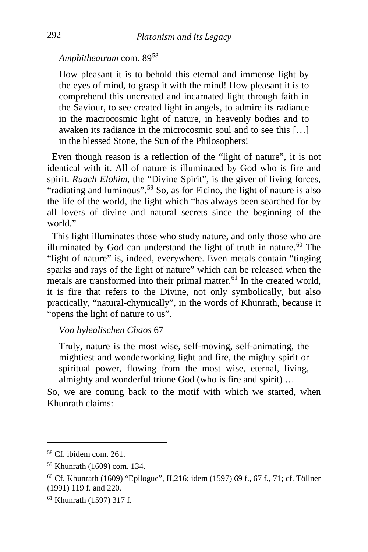#### *Amphitheatrum* com. 89[58](#page-12-0)

How pleasant it is to behold this eternal and immense light by the eyes of mind, to grasp it with the mind! How pleasant it is to comprehend this uncreated and incarnated light through faith in the Saviour, to see created light in angels, to admire its radiance in the macrocosmic light of nature, in heavenly bodies and to awaken its radiance in the microcosmic soul and to see this […] in the blessed Stone, the Sun of the Philosophers!

 Even though reason is a reflection of the "light of nature", it is not identical with it. All of nature is illuminated by God who is fire and spirit. *Ruach Elohim*, the "Divine Spirit", is the giver of living forces, "radiating and luminous".<sup>[59](#page-12-1)</sup> So, as for Ficino, the light of nature is also the life of the world, the light which "has always been searched for by all lovers of divine and natural secrets since the beginning of the world"

 This light illuminates those who study nature, and only those who are illuminated by God can understand the light of truth in nature. $60$  The "light of nature" is, indeed, everywhere. Even metals contain "tinging sparks and rays of the light of nature" which can be released when the metals are transformed into their primal matter.<sup>[61](#page-12-3)</sup> In the created world, it is fire that refers to the Divine, not only symbolically, but also practically, "natural-chymically", in the words of Khunrath, because it "opens the light of nature to us".

#### *Von hylealischen Chaos* 67

Truly, nature is the most wise, self-moving, self-animating, the mightiest and wonderworking light and fire, the mighty spirit or spiritual power, flowing from the most wise, eternal, living, almighty and wonderful triune God (who is fire and spirit) …

So, we are coming back to the motif with which we started, when Khunrath claims:

i,

<span id="page-12-0"></span><sup>58</sup> Cf. ibidem com. 261.

<span id="page-12-1"></span><sup>59</sup> Khunrath (1609) com. 134.

<span id="page-12-2"></span><sup>60</sup> Cf. Khunrath (1609) "Epilogue", II,216; idem (1597) 69 f., 67 f., 71; cf. Töllner (1991) 119 f. and 220.

<span id="page-12-3"></span><sup>61</sup> Khunrath (1597) 317 f.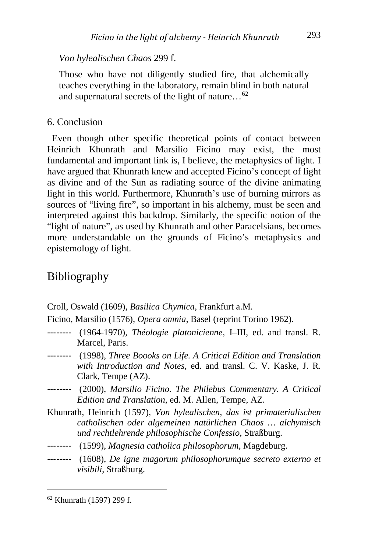#### *Von hylealischen Chaos* 299 f.

Those who have not diligently studied fire, that alchemically teaches everything in the laboratory, remain blind in both natural and supernatural secrets of the light of nature…[62](#page-13-0)

#### 6. Conclusion

 Even though other specific theoretical points of contact between Heinrich Khunrath and Marsilio Ficino may exist, the most fundamental and important link is, I believe, the metaphysics of light. I have argued that Khunrath knew and accepted Ficino's concept of light as divine and of the Sun as radiating source of the divine animating light in this world. Furthermore, Khunrath's use of burning mirrors as sources of "living fire", so important in his alchemy, must be seen and interpreted against this backdrop. Similarly, the specific notion of the "light of nature", as used by Khunrath and other Paracelsians, becomes more understandable on the grounds of Ficino's metaphysics and epistemology of light.

### Bibliography

Croll, Oswald (1609), *Basilica Chymica*, Frankfurt a.M.

Ficino, Marsilio (1576), *Opera omnia*, Basel (reprint Torino 1962).

- -------- (1964-1970), *Théologie platonicienne*, I–III, ed. and transl. R. Marcel, Paris.
- -------- (1998), *Three Boooks on Life. A Critical Edition and Translation with Introduction and Notes*, ed. and transl. C. V. Kaske, J. R. Clark, Tempe (AZ).
- -------- (2000), *Marsilio Ficino. The Philebus Commentary. A Critical Edition and Translation*, ed. M. Allen, Tempe, AZ.
- Khunrath, Heinrich (1597), *Von hylealischen, das ist primaterialischen catholischen oder algemeinen natürlichen Chaos … alchymisch und rechtlehrende philosophische Confessio*, Straßburg.
- -------- (1599), *Magnesia catholica philosophorum*, Magdeburg.
- -------- (1608), *De igne magorum philosophorumque secreto externo et visibili*, Straßburg.

<span id="page-13-0"></span><sup>62</sup> Khunrath (1597) 299 f.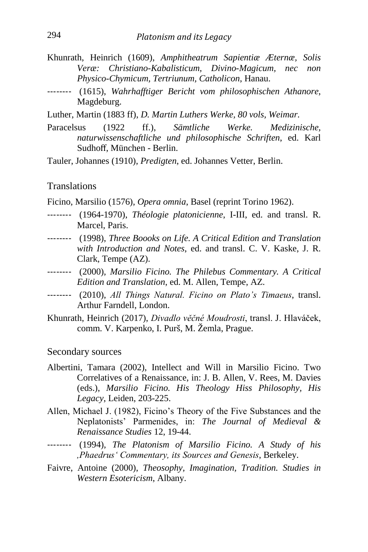- Khunrath, Heinrich (1609), *Amphitheatrum Sapientiæ Æternæ, Solis Veræ: Christiano-Kabalisticum, Divino-Magicum, nec non Physico-Chymicum, Tertriunum, Catholicon*, Hanau.
- -------- (1615), *Wahrhafftiger Bericht vom philosophischen Athanore*, Magdeburg.
- Luther, Martin (1883 ff), *D. Martin Luthers Werke, 80 vols, Weimar.*
- Paracelsus (1922 ff.), *Sämtliche Werke. Medizinische, naturwissenschaftliche und philosophische Schriften*, ed. Karl Sudhoff, München - Berlin.
- Tauler, Johannes (1910), *Predigten*, ed. Johannes Vetter, Berlin.

#### **Translations**

- Ficino, Marsilio (1576), *Opera omnia*, Basel (reprint Torino 1962).
- -------- (1964-1970), *Théologie platonicienne*, I-III, ed. and transl. R. Marcel, Paris.
- -------- (1998), *Three Boooks on Life. A Critical Edition and Translation with Introduction and Notes*, ed. and transl. C. V. Kaske, J. R. Clark, Tempe (AZ).
- -------- (2000), *Marsilio Ficino. The Philebus Commentary. A Critical Edition and Translation*, ed. M. Allen, Tempe, AZ.
- -------- (2010), *All Things Natural. Ficino on Plato's Timaeus*, transl. Arthur Farndell, London.
- Khunrath, Heinrich (2017), *Divadlo věčné Moudrosti*, transl. J. Hlaváček, comm. V. Karpenko, I. Purš, M. Žemla, Prague.

#### Secondary sources

- Albertini, Tamara (2002), Intellect and Will in Marsilio Ficino. Two Correlatives of a Renaissance, in: J. B. Allen, V. Rees, M. Davies (eds.), *Marsilio Ficino. His Theology Hiss Philosophy, His Legacy*, Leiden, 203-225.
- Allen, Michael J. (1982), Ficino's Theory of the Five Substances and the Neplatonists' Parmenides, in: *The Journal of Medieval & Renaissance Studies* 12, 19-44.
- -------- (1994), *The Platonism of Marsilio Ficino. A Study of his ,Phaedrusʻ Commentary, its Sources and Genesis*, Berkeley.
- Faivre, Antoine (2000), *Theosophy, Imagination, Tradition. Studies in Western Esotericism*, Albany.